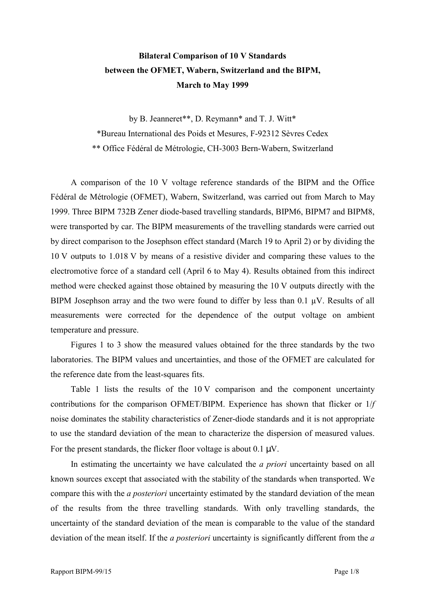## **Bilateral Comparison of 10 V Standards between the OFMET, Wabern, Switzerland and the BIPM, March to May 1999**

by B. Jeanneret\*\*, D. Reymann\* and T. J. Witt\* \*Bureau International des Poids et Mesures, F-92312 SËvres Cedex \*\* Office FÈdÈral de MÈtrologie, CH-3003 Bern-Wabern, Switzerland

A comparison of the 10 V voltage reference standards of the BIPM and the Office FÈdÈral de MÈtrologie (OFMET), Wabern, Switzerland, was carried out from March to May 1999. Three BIPM 732B Zener diode-based travelling standards, BIPM6, BIPM7 and BIPM8, were transported by car. The BIPM measurements of the travelling standards were carried out by direct comparison to the Josephson effect standard (March 19 to April 2) or by dividing the 10 V outputs to 1.018 V by means of a resistive divider and comparing these values to the electromotive force of a standard cell (April 6 to May 4). Results obtained from this indirect method were checked against those obtained by measuring the 10 V outputs directly with the BIPM Josephson array and the two were found to differ by less than  $0.1 \mu V$ . Results of all measurements were corrected for the dependence of the output voltage on ambient temperature and pressure.

Figures 1 to 3 show the measured values obtained for the three standards by the two laboratories. The BIPM values and uncertainties, and those of the OFMET are calculated for the reference date from the least-squares fits.

Table 1 lists the results of the 10 V comparison and the component uncertainty contributions for the comparison OFMET/BIPM. Experience has shown that flicker or 1/*f* noise dominates the stability characteristics of Zener-diode standards and it is not appropriate to use the standard deviation of the mean to characterize the dispersion of measured values. For the present standards, the flicker floor voltage is about  $0.1 \mu V$ .

In estimating the uncertainty we have calculated the *a priori* uncertainty based on all known sources except that associated with the stability of the standards when transported. We compare this with the *a posteriori* uncertainty estimated by the standard deviation of the mean of the results from the three travelling standards. With only travelling standards, the uncertainty of the standard deviation of the mean is comparable to the value of the standard deviation of the mean itself. If the *a posteriori* uncertainty is significantly different from the *a*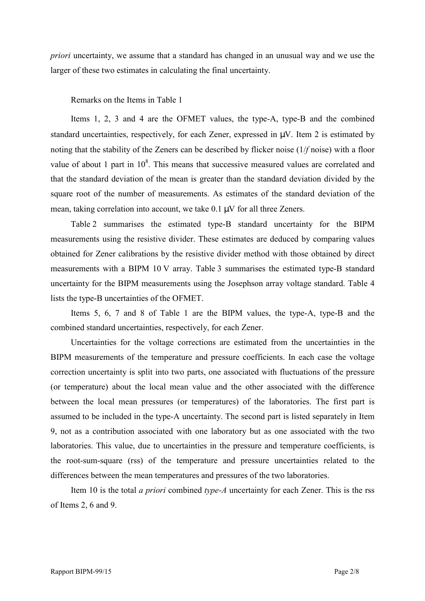*priori* uncertainty, we assume that a standard has changed in an unusual way and we use the larger of these two estimates in calculating the final uncertainty.

Remarks on the Items in Table 1

Items 1, 2, 3 and 4 are the OFMET values, the type-A, type-B and the combined standard uncertainties, respectively, for each Zener, expressed in  $\mu$ V. Item 2 is estimated by noting that the stability of the Zeners can be described by flicker noise (1/*f* noise) with a floor value of about 1 part in  $10^8$ . This means that successive measured values are correlated and that the standard deviation of the mean is greater than the standard deviation divided by the square root of the number of measurements. As estimates of the standard deviation of the mean, taking correlation into account, we take 0.1 µV for all three Zeners.

Table 2 summarises the estimated type-B standard uncertainty for the BIPM measurements using the resistive divider. These estimates are deduced by comparing values obtained for Zener calibrations by the resistive divider method with those obtained by direct measurements with a BIPM 10 V array. Table 3 summarises the estimated type-B standard uncertainty for the BIPM measurements using the Josephson array voltage standard. Table 4 lists the type-B uncertainties of the OFMET.

Items 5, 6, 7 and 8 of Table 1 are the BIPM values, the type-A, type-B and the combined standard uncertainties, respectively, for each Zener.

Uncertainties for the voltage corrections are estimated from the uncertainties in the BIPM measurements of the temperature and pressure coefficients. In each case the voltage correction uncertainty is split into two parts, one associated with fluctuations of the pressure (or temperature) about the local mean value and the other associated with the difference between the local mean pressures (or temperatures) of the laboratories. The first part is assumed to be included in the type-A uncertainty. The second part is listed separately in Item 9, not as a contribution associated with one laboratory but as one associated with the two laboratories. This value, due to uncertainties in the pressure and temperature coefficients, is the root-sum-square (rss) of the temperature and pressure uncertainties related to the differences between the mean temperatures and pressures of the two laboratories.

Item 10 is the total *a priori* combined *type-A* uncertainty for each Zener. This is the rss of Items 2, 6 and 9.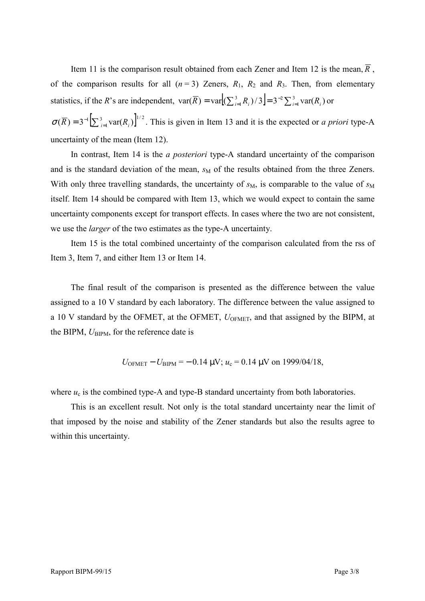Item 11 is the comparison result obtained from each Zener and Item 12 is the mean,  $\overline{R}$ , of the comparison results for all  $(n=3)$  Zeners,  $R_1$ ,  $R_2$  and  $R_3$ . Then, from elementary statistics, if the *R*'s are independent,  $var(\overline{R}) = var[(\sum_{i=1}^{3} R_i)/3] = 3^{-2} \sum_{i=1}^{3}$  $\text{var}(\overline{R}) = \text{var}(\sum_{i=1}^{3} R_i)/3 = 3^{-2} \sum_{i=1}^{3} \text{var}(R_i)$  or

 $\sigma(\overline{R}) = 3^{-1} \left[ \sum_{i=1}^{3} \text{var}(R_i) \right]^{1/2}$ . This is given in Item 13 and it is the expected or *a priori* type-A uncertainty of the mean (Item 12).

In contrast, Item 14 is the *a posteriori* type-A standard uncertainty of the comparison and is the standard deviation of the mean,  $s<sub>M</sub>$  of the results obtained from the three Zeners. With only three travelling standards, the uncertainty of  $s_M$ , is comparable to the value of  $s_M$ itself. Item 14 should be compared with Item 13, which we would expect to contain the same uncertainty components except for transport effects. In cases where the two are not consistent, we use the *larger* of the two estimates as the type-A uncertainty.

Item 15 is the total combined uncertainty of the comparison calculated from the rss of Item 3, Item 7, and either Item 13 or Item 14.

The final result of the comparison is presented as the difference between the value assigned to a 10 V standard by each laboratory. The difference between the value assigned to a 10 V standard by the OFMET, at the OFMET,  $U_{\text{OFMET}}$ , and that assigned by the BIPM, at the BIPM,  $U_{\text{RIPM}}$ , for the reference date is

$$
U_{\text{OFMET}} - U_{\text{BIPM}} = -0.14 \text{ }\mu\text{V}; u_c = 0.14 \text{ }\mu\text{V} \text{ on } 1999/04/18,
$$

where  $u_c$  is the combined type-A and type-B standard uncertainty from both laboratories.

This is an excellent result. Not only is the total standard uncertainty near the limit of that imposed by the noise and stability of the Zener standards but also the results agree to within this uncertainty.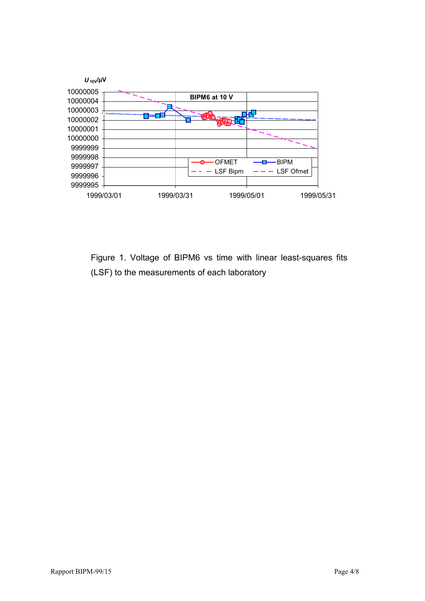

Figure 1. Voltage of BIPM6 vs time with linear least-squares fits (LSF) to the measurements of each laboratory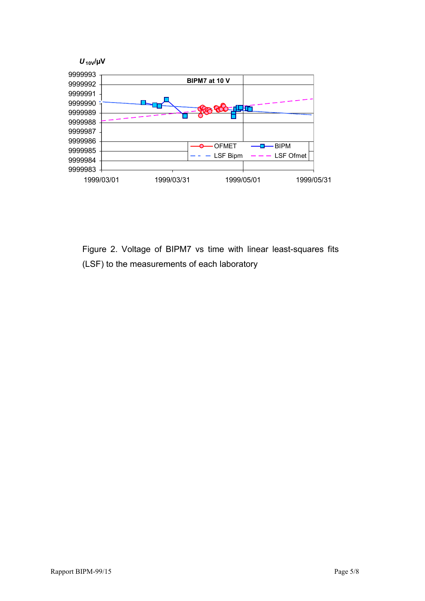

Figure 2. Voltage of BIPM7 vs time with linear least-squares fits (LSF) to the measurements of each laboratory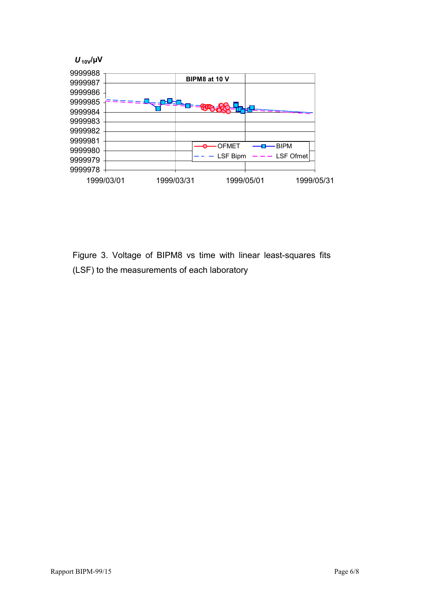

Figure 3. Voltage of BIPM8 vs time with linear least-squares fits (LSF) to the measurements of each laboratory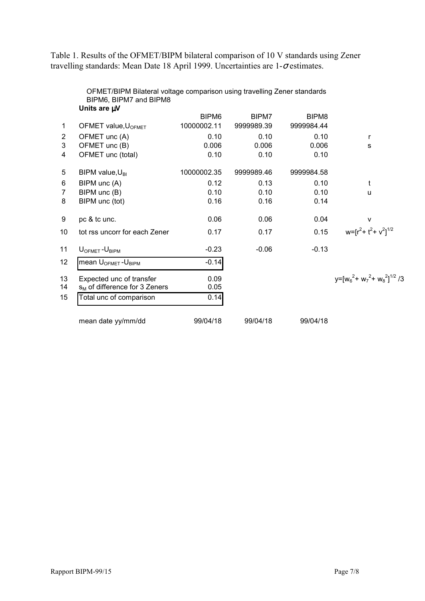Table 1. Results of the OFMET/BIPM bilateral comparison of 10 V standards using Zener travelling standards: Mean Date 18 April 1999. Uncertainties are 1-σ estimates.

|                | BIPM6, BIPM7 and BIPM8                     |                   |            |                   |                                        |
|----------------|--------------------------------------------|-------------------|------------|-------------------|----------------------------------------|
|                | Units are µV                               |                   |            |                   |                                        |
|                |                                            | BIPM <sub>6</sub> | BIPM7      | BIPM <sub>8</sub> |                                        |
| 1              | OFMET value, U <sub>OFMET</sub>            | 10000002.11       | 9999989.39 | 9999984.44        |                                        |
| 2              | OFMET unc (A)                              | 0.10              | 0.10       | 0.10              | r                                      |
| 3              | OFMET unc (B)                              | 0.006             | 0.006      | 0.006             | s                                      |
| 4              | OFMET unc (total)                          | 0.10              | 0.10       | 0.10              |                                        |
| 5              | BIPM value, $U_{\text{BI}}$                | 10000002.35       | 9999989.46 | 9999984.58        |                                        |
| 6              | BIPM unc (A)                               | 0.12              | 0.13       | 0.10              | t                                      |
| $\overline{7}$ | BIPM unc (B)                               | 0.10              | 0.10       | 0.10              | u                                      |
| 8              | BIPM unc (tot)                             | 0.16              | 0.16       | 0.14              |                                        |
| 9              | pc & tc unc.                               | 0.06              | 0.06       | 0.04              | $\mathsf{v}$                           |
| 10             | tot rss uncorr for each Zener              | 0.17              | 0.17       | 0.15              | $w = [r^2 + t^2 + v^2]^{1/2}$          |
| 11             | $U_{OFMET} - U_{BIPM}$                     | $-0.23$           | $-0.06$    | $-0.13$           |                                        |
| 12             | mean U <sub>OFMET</sub> -U <sub>BIPM</sub> | $-0.14$           |            |                   |                                        |
| 13             | Expected unc of transfer                   | 0.09              |            |                   | $v = [w_6^2 + w_7^2 + w_8^2]^{1/2}$ /3 |
| 14             | $s_M$ of difference for 3 Zeners           | 0.05              |            |                   |                                        |
| 15             | Total unc of comparison                    | 0.14              |            |                   |                                        |
|                | mean date yy/mm/dd                         | 99/04/18          | 99/04/18   | 99/04/18          |                                        |

OFMET/BIPM Bilateral voltage comparison using travelling Zener standards